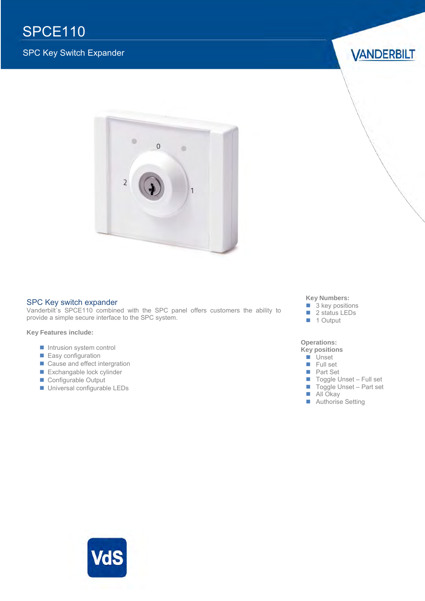## SPCE110

#### SPC Key Switch Expander

**VANDERBILT** 



#### SPC Key switch expander

Vanderbilt's SPCE110 combined with the SPC panel offers customers the ability to provide a simple secure interface to the SPC system.

#### **Key Features include:**

- **Intrusion system control**
- **Easy configuration**
- Cause and effect intergration
- Exchangable lock cylinder
- Configurable Output
- Universal configurable LEDs

#### **Key Numbers:**

- 3 key positions
- 2 status LEDs
- 1 Output

#### **Operations:**

#### **Key positions**

- **Unset Full set**
- **Part Set** 
	-
- Toggle Unset Full set  $\blacksquare$  Toggle Unset – Part set
- **All Okay**
- Authorise Setting

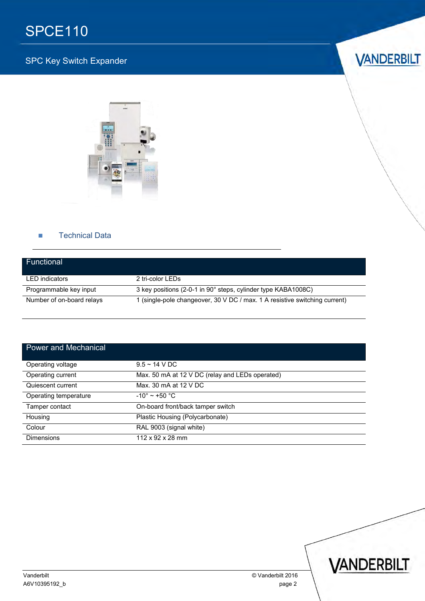# SPCE110

### SPC Key Switch Expander





#### **Technical Data**

| Functional                |                                                                            |
|---------------------------|----------------------------------------------------------------------------|
| <b>LED</b> indicators     | 2 tri-color LEDs                                                           |
| Programmable key input    | 3 key positions (2-0-1 in 90° steps, cylinder type KABA1008C)              |
| Number of on-board relays | 1 (single-pole changeover, 30 V DC / max. 1 A resistive switching current) |

| <b>Power and Mechanical</b> |                                                 |
|-----------------------------|-------------------------------------------------|
| Operating voltage           | $9.5 - 14$ V DC                                 |
| Operating current           | Max. 50 mA at 12 V DC (relay and LEDs operated) |
| Quiescent current           | Max. 30 mA at 12 V DC                           |
| Operating temperature       | $-10^{\circ}$ ~ +50 $^{\circ}$ C                |
| Tamper contact              | On-board front/back tamper switch               |
| Housing                     | Plastic Housing (Polycarbonate)                 |
| Colour                      | RAL 9003 (signal white)                         |
| <b>Dimensions</b>           | $112 \times 92 \times 28$ mm                    |

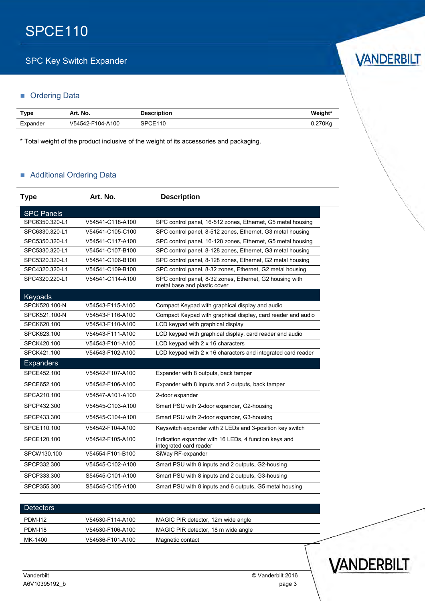### **SPC Key Switch Expander**

#### **C** Ordering Data

| <b>Type</b> | Art. No.         | <b>Description</b> | Weight* |
|-------------|------------------|--------------------|---------|
| Expander    | V54542-F104-A100 | SPCE110            | 0.270Kg |

\* Total weight of the product inclusive of the weight of its accessories and packaging.

#### **Additional Ordering Data**

| <b>Type</b>       | Art. No.         | <b>Description</b>                                                                       |
|-------------------|------------------|------------------------------------------------------------------------------------------|
| <b>SPC Panels</b> |                  |                                                                                          |
| SPC6350.320-L1    | V54541-C118-A100 | SPC control panel, 16-512 zones, Ethernet, G5 metal housing                              |
| SPC6330.320-L1    | V54541-C105-C100 | SPC control panel, 8-512 zones, Ethernet, G3 metal housing                               |
| SPC5350.320-L1    | V54541-C117-A100 | SPC control panel, 16-128 zones, Ethernet, G5 metal housing                              |
| SPC5330.320-L1    | V54541-C107-B100 | SPC control panel, 8-128 zones, Ethernet, G3 metal housing                               |
| SPC5320.320-L1    | V54541-C106-B100 | SPC control panel, 8-128 zones, Ethernet, G2 metal housing                               |
| SPC4320.320-L1    | V54541-C109-B100 | SPC control panel, 8-32 zones, Ethernet, G2 metal housing                                |
| SPC4320.220-L1    | V54541-C114-A100 | SPC control panel, 8-32 zones, Ethernet, G2 housing with<br>metal base and plastic cover |
| Keypads           |                  |                                                                                          |
| SPCK520.100-N     | V54543-F115-A100 | Compact Keypad with graphical display and audio                                          |
| SPCK521.100-N     | V54543-F116-A100 | Compact Keypad with graphical display, card reader and audio                             |
| SPCK620.100       | V54543-F110-A100 | LCD keypad with graphical display                                                        |
| SPCK623.100       | V54543-F111-A100 | LCD keypad with graphical display, card reader and audio                                 |
| SPCK420.100       | V54543-F101-A100 | LCD keypad with 2 x 16 characters                                                        |
| SPCK421.100       | V54543-F102-A100 | LCD keypad with 2 x 16 characters and integrated card reader                             |
| <b>Expanders</b>  |                  |                                                                                          |
| SPCE452.100       | V54542-F107-A100 | Expander with 8 outputs, back tamper                                                     |
| SPCE652.100       | V54542-F106-A100 | Expander with 8 inputs and 2 outputs, back tamper                                        |
| SPCA210.100       | V54547-A101-A100 | 2-door expander                                                                          |
| SPCP432.300       | V54545-C103-A100 | Smart PSU with 2-door expander, G2-housing                                               |
| SPCP433.300       | V54545-C104-A100 | Smart PSU with 2-door expander, G3-housing                                               |
| SPCE110.100       | V54542-F104-A100 | Keyswitch expander with 2 LEDs and 3-position key switch                                 |
| SPCE120.100       | V54542-F105-A100 | Indication expander with 16 LEDs, 4 function keys and<br>integrated card reader          |
| SPCW130.100       | V54554-F101-B100 | SiWay RF-expander                                                                        |
| SPCP332.300       | V54545-C102-A100 | Smart PSU with 8 inputs and 2 outputs, G2-housing                                        |
| SPCP333.300       | S54545-C101-A100 | Smart PSU with 8 inputs and 2 outputs, G3-housing                                        |
| SPCP355.300       | S54545-C105-A100 | Smart PSU with 8 inputs and 6 outputs, G5 metal housing                                  |

| <b>Detectors</b> |                  |                                     |  |
|------------------|------------------|-------------------------------------|--|
| <b>PDM-112</b>   | V54530-F114-A100 | MAGIC PIR detector, 12m wide angle  |  |
| <b>PDM-118</b>   | V54530-F106-A100 | MAGIC PIR detector, 18 m wide angle |  |
| MK-1400          | V54536-F101-A100 | Magnetic contact                    |  |
|                  |                  |                                     |  |



VANDERBILT

# VANDERBILT